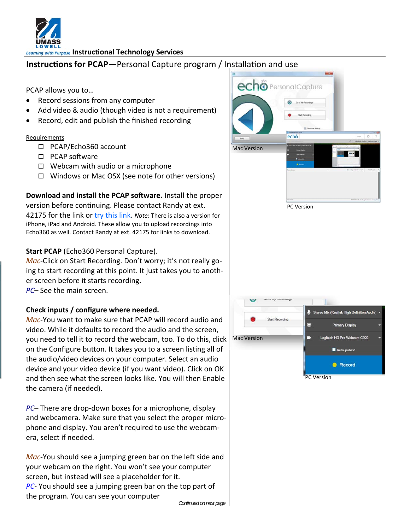

**Learning with Purpose Instructional Technology Services** 

# **Instructions for PCAP**—Personal Capture program / Installation and use

PCAP allows you to…

- Record sessions from any computer
- Add video & audio (though video is not a requirement)
- Record, edit and publish the finished recording

#### Requirements

- PCAP/Echo360 account
- $\square$  PCAP software
- $\Box$  Webcam with audio or a microphone
- □ Windows or Mac OSX (see note for other versions)

### **Download and install the PCAP software.** Install the proper version before continuing. Please contact Randy at ext. 42175 for the link or [try this link](https://studentuml-my.sharepoint.com/personal/randolph_tyndall_uml_edu/Documents/Shared%20with%20Everyone). *Note*: There is also a version for

iPhone, iPad and Android. These allow you to upload recordings into Echo360 as well. Contact Randy at ext. 42175 for links to download.

# **Start PCAP** (Echo360 Personal Capture).

*Mac*‐Click on Start Recording. Don't worry; it's not really go‐ ing to start recording at this point. It just takes you to anoth‐ er screen before it starts recording.

*PC*– See the main screen.

# **Check inputs / configure where needed.**

*Mac*‐You want to make sure that PCAP will record audio and video. While it defaults to record the audio and the screen, you need to tell it to record the webcam, too. To do this, click on the Configure button. It takes you to a screen listing all of the audio/video devices on your computer. Select an audio device and your video device (if you want video). Click on OK and then see what the screen looks like. You will then Enable the camera (if needed).

*PC*– There are drop‐down boxes for a microphone, display and webcamera. Make sure that you select the proper micro‐ phone and display. You aren't required to use the webcam‐ era, select if needed.

*Mac*-You should see a jumping green bar on the left side and your webcam on the right. You won't see your computer screen, but instead will see a placeholder for it. *PC*‐ You should see a jumping green bar on the top part of the program. You can see your computer

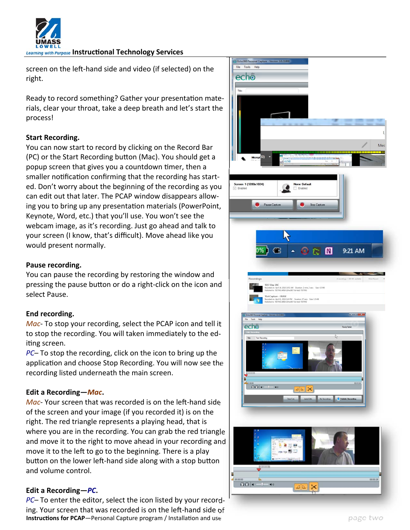

**Learning with Purpose Instructional Technology Services** 

screen on the left-hand side and video (if selected) on the right.

Ready to record something? Gather your presentation materials, clear your throat, take a deep breath and let's start the process!

### **Start Recording.**

You can now start to record by clicking on the Record Bar (PC) or the Start Recording button (Mac). You should get a popup screen that gives you a countdown Ɵmer, then a smaller notification confirming that the recording has started. Don't worry about the beginning of the recording as you can edit out that later. The PCAP window disappears allow‐ ing you to bring up any presentation materials (PowerPoint, Keynote, Word, etc.) that you'll use. You won't see the webcam image, as it's recording. Just go ahead and talk to your screen (I know, that's difficult). Move ahead like you would present normally.

#### **Pause recording.**

You can pause the recording by restoring the window and pressing the pause button or do a right-click on the icon and select Pause.

#### **End recording.**

*Mac*‐ To stop your recording, select the PCAP icon and tell it to stop the recording. You will taken immediately to the ed‐ iting screen.

*PC*– To stop the recording, click on the icon to bring up the application and choose Stop Recording. You will now see the recording listed underneath the main screen.

#### **Edit a Recording—***Mac***.**

*Mac*- Your screen that was recorded is on the left-hand side of the screen and your image (if you recorded it) is on the right. The red triangle represents a playing head, that is where you are in the recording. You can grab the red triangle and move it to the right to move ahead in your recording and move it to the left to go to the beginning. There is a play button on the lower left-hand side along with a stop button and volume control.

#### **Edit a Recording—***PC***.**

*PC*– To enter the editor, select the icon listed by your record‐ ing. Your screen that was recorded is on the left-hand side of **Instructions for PCAP**—Personal Capture program / Installation and use page two page two

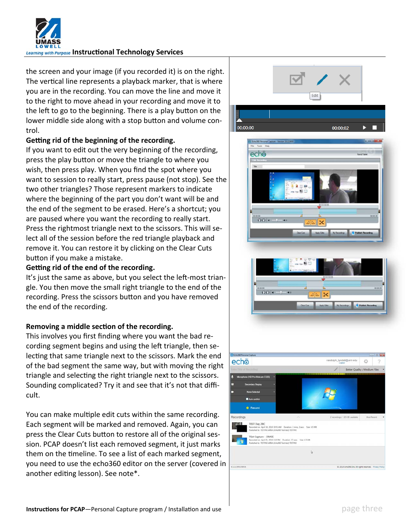

**Learning with Purpose Instructional Technology Services** 

the screen and your image (if you recorded it) is on the right. The vertical line represents a playback marker, that is where you are in the recording. You can move the line and move it to the right to move ahead in your recording and move it to the left to go to the beginning. There is a play button on the lower middle side along with a stop button and volume control.

# **Geƫng rid of the beginning of the recording.**

If you want to edit out the very beginning of the recording, press the play button or move the triangle to where you wish, then press play. When you find the spot where you want to session to really start, press pause (not stop). See the two other triangles? Those represent markers to indicate where the beginning of the part you don't want will be and the end of the segment to be erased. Here's a shortcut; you are paused where you want the recording to really start. Press the rightmost triangle next to the scissors. This will se‐ lect all of the session before the red triangle playback and remove it. You can restore it by clicking on the Clear Cuts button if you make a mistake.

### **Geƫng rid of the end of the recording.**

It's just the same as above, but you select the left-most triangle. You then move the small right triangle to the end of the recording. Press the scissors button and you have removed the end of the recording.

# **Removing a middle section of the recording.**

This involves you first finding where you want the bad re‐ cording segment begins and using the left triangle, then selecting that same triangle next to the scissors. Mark the end of the bad segment the same way, but with moving the right triangle and selecting the right triangle next to the scissors. Sounding complicated? Try it and see that it's not that diffi‐ cult.

You can make multiple edit cuts within the same recording. Each segment will be marked and removed. Again, you can press the Clear Cuts button to restore all of the original session. PCAP doesn't list each removed segment, it just marks them on the timeline. To see a list of each marked segment, you need to use the echo360 editor on the server (covered in another editing lesson). See note\*.



b